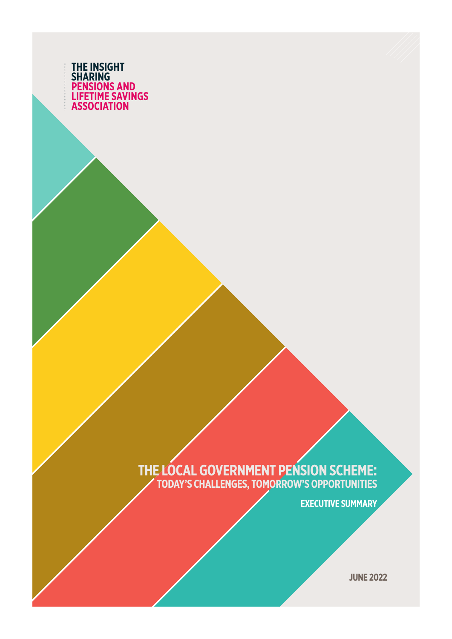

#### **THE LOCAL GOVERNMENT PENSION SCHEME: TODAY'S CHALLENGES, TOMORROW'S OPPORTUNITIES**

**EXECUTIVE SUMMARY**

**JUNE 2022**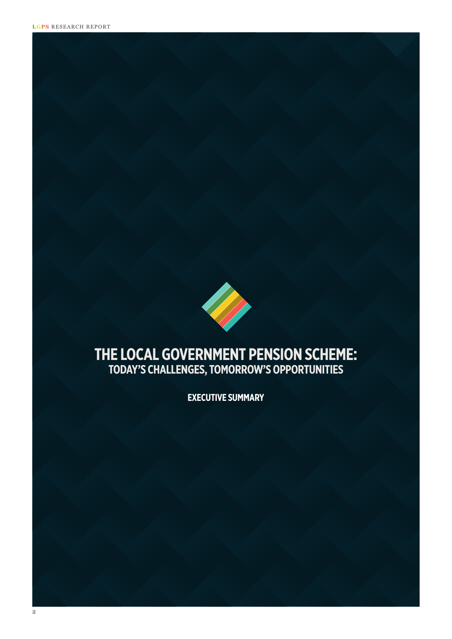

### **THE LOCAL GOVERNMENT PENSION SCHEME: TODAY'S CHALLENGES, TOMORROW'S OPPORTUNITIES**

**EXECUTIVE SUMMARY**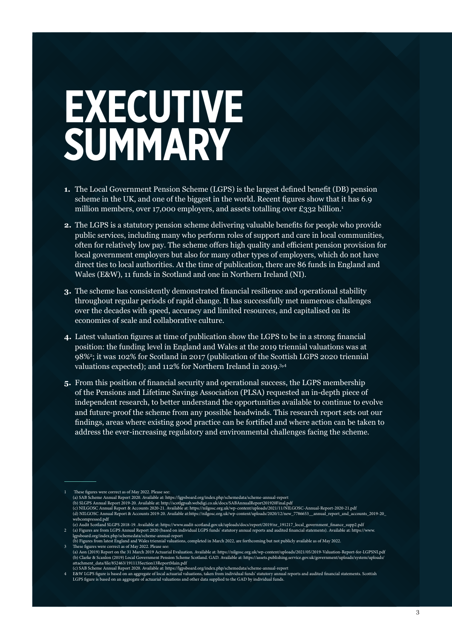# **EXECUTIVE SUMMARY**

- **1.** The Local Government Pension Scheme (LGPS) is the largest defined benefit (DB) pension scheme in the UK, and one of the biggest in the world. Recent figures show that it has 6.9 million members, over 17,000 employers, and assets totalling over £332 billion.<sup>1</sup>
- **2.** The LGPS is a statutory pension scheme delivering valuable benefits for people who provide public services, including many who perform roles of support and care in local communities, often for relatively low pay. The scheme offers high quality and efficient pension provision for local government employers but also for many other types of employers, which do not have direct ties to local authorities. At the time of publication, there are 86 funds in England and Wales (E&W), 11 funds in Scotland and one in Northern Ireland (NI).
- **3.** The scheme has consistently demonstrated financial resilience and operational stability throughout regular periods of rapid change. It has successfully met numerous challenges over the decades with speed, accuracy and limited resources, and capitalised on its economies of scale and collaborative culture.
- **4.** Latest valuation figures at time of publication show the LGPS to be in a strong financial position: the funding level in England and Wales at the 2019 triennial valuations was at 98%<sup>2</sup> ; it was 102% for Scotland in 2017 (publication of the Scottish LGPS 2020 triennial valuations expected); and 112% for Northern Ireland in 2019.<sup>3,4</sup>
- **5.** From this position of financial security and operational success, the LGPS membership of the Pensions and Lifetime Savings Association (PLSA) requested an in-depth piece of independent research, to better understand the opportunities available to continue to evolve and future-proof the scheme from any possible headwinds. This research report sets out our findings, areas where existing good practice can be fortified and where action can be taken to address the ever-increasing regulatory and environmental challenges facing the scheme.

These figures were correct as of May 2022. Please see:

<sup>(</sup>a) SAB Scheme Annual Report 2020. Available at: https://lgpsboard.org/index.php/schemedata/scheme-annual-report<br>(b) SLGPS Annual Report 2019-20. Available at: http://scotlgpsab.webdigi.co.uk/docs/SABAnnualReport201920Fina

<sup>(</sup>c) NILGOSC Annual Report & Accounts 2020-21. Available at: https://nilgosc.org.uk/wp-content/uploads/2021/11/NILGOSC-Annual-Report-2020-21.pdf

<sup>(</sup>d) NILGOSC Annual Report & Accounts 2019-20. Available at:https://nilgosc.org.uk/wp-content/uploads/2020/12/new\_7786653\_\_annual\_report\_and\_accounts\_2019-20\_ webcompressed.pdf

e) Audit Scotland SLGPS 2018-19. Available at: https://www.audit-scotland.gov.uk/uploads/docs/report/2019/nr\_191217\_local\_government\_finance\_supp2.pdf)<br>(a) Figures are from LGPS Annual Report 2020 (based on individual LGP lgpsboard.org/index.php/schemedata/scheme-annual-report

<sup>(</sup>b) Figures from latest England and Wales triennial valuations, completed in March 2022, are forthcoming but not publicly available as of May 2022.<br>These fourses were correct as of May 2022. Please see:

<sup>3</sup> These figures were correct as of May 2022. Please see:<br>(a) Aon (2019) Report on the 31 March 2019 Actuarial Evaluation. Available at: https://nilgosc.org.uk/wp-content/uploads/2021/05/2019-Valuation-Report-for-LGPSNI.pdf

c) SAB Scheme Annual Report 2020. Available at: https://lgpsboard.org/index.php/schemedata/scheme-annual-report<br>BAW LGPS figure is based on an aggregate of local actuarial valuations, taken from individual funds' statutory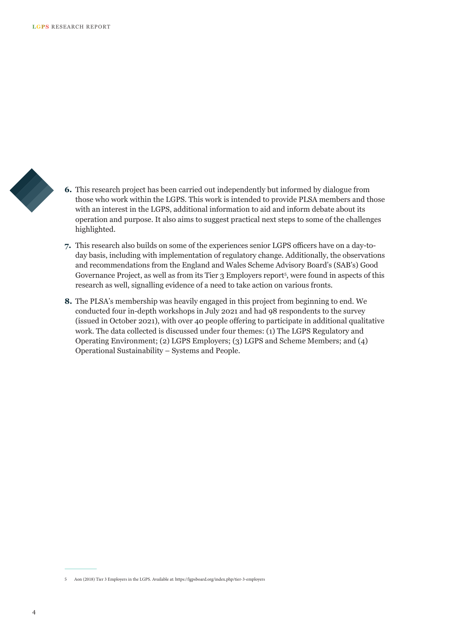

- **6.** This research project has been carried out independently but informed by dialogue from those who work within the LGPS. This work is intended to provide PLSA members and those with an interest in the LGPS, additional information to aid and inform debate about its operation and purpose. It also aims to suggest practical next steps to some of the challenges highlighted.
- **7.** This research also builds on some of the experiences senior LGPS officers have on a day-today basis, including with implementation of regulatory change. Additionally, the observations and recommendations from the England and Wales Scheme Advisory Board's (SAB's) Good Governance Project, as well as from its Tier 3 Employers report<sup>5</sup> , were found in aspects of this research as well, signalling evidence of a need to take action on various fronts.
- **8.** The PLSA's membership was heavily engaged in this project from beginning to end. We conducted four in-depth workshops in July 2021 and had 98 respondents to the survey (issued in October 2021), with over 40 people offering to participate in additional qualitative work. The data collected is discussed under four themes: (1) The LGPS Regulatory and Operating Environment; (2) LGPS Employers; (3) LGPS and Scheme Members; and (4) Operational Sustainability – Systems and People.

<sup>5</sup> Aon (2018) Tier 3 Employers in the LGPS. Available at: https://lgpsboard.org/index.php/tier-3-employers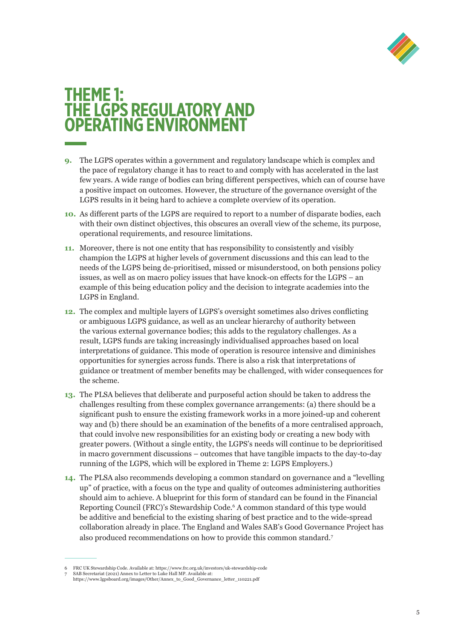

## **THEME 1: THE LGPS REGULATORY AND OPERATING ENVIRONMENT**

- **9.** The LGPS operates within a government and regulatory landscape which is complex and the pace of regulatory change it has to react to and comply with has accelerated in the last few years. A wide range of bodies can bring different perspectives, which can of course have a positive impact on outcomes. However, the structure of the governance oversight of the LGPS results in it being hard to achieve a complete overview of its operation.
- **10.** As different parts of the LGPS are required to report to a number of disparate bodies, each with their own distinct objectives, this obscures an overall view of the scheme, its purpose, operational requirements, and resource limitations.
- **11.** Moreover, there is not one entity that has responsibility to consistently and visibly champion the LGPS at higher levels of government discussions and this can lead to the needs of the LGPS being de-prioritised, missed or misunderstood, on both pensions policy issues, as well as on macro policy issues that have knock-on effects for the LGPS – an example of this being education policy and the decision to integrate academies into the LGPS in England.
- **12.** The complex and multiple layers of LGPS's oversight sometimes also drives conflicting or ambiguous LGPS guidance, as well as an unclear hierarchy of authority between the various external governance bodies; this adds to the regulatory challenges. As a result, LGPS funds are taking increasingly individualised approaches based on local interpretations of guidance. This mode of operation is resource intensive and diminishes opportunities for synergies across funds. There is also a risk that interpretations of guidance or treatment of member benefits may be challenged, with wider consequences for the scheme.
- **13.** The PLSA believes that deliberate and purposeful action should be taken to address the challenges resulting from these complex governance arrangements: (a) there should be a significant push to ensure the existing framework works in a more joined-up and coherent way and (b) there should be an examination of the benefits of a more centralised approach, that could involve new responsibilities for an existing body or creating a new body with greater powers. (Without a single entity, the LGPS's needs will continue to be deprioritised in macro government discussions – outcomes that have tangible impacts to the day-to-day running of the LGPS, which will be explored in Theme 2: LGPS Employers.)
- **14.** The PLSA also recommends developing a common standard on governance and a "levelling up" of practice, with a focus on the type and quality of outcomes administering authorities should aim to achieve. A blueprint for this form of standard can be found in the Financial Reporting Council (FRC)'s Stewardship Code.6 A common standard of this type would be additive and beneficial to the existing sharing of best practice and to the wide-spread collaboration already in place. The England and Wales SAB's Good Governance Project has also produced recommendations on how to provide this common standard.7

<sup>6</sup> FRC UK Stewardship Code. Available at: https://www.frc.org.uk/investors/uk-stewardship-code 7 SAB Secretariat (2021) Annex to Letter to Luke Hall MP. Available at:

https://www.lgpsboard.org/images/Other/Annex\_to\_Good\_Governance\_letter\_110221.pdf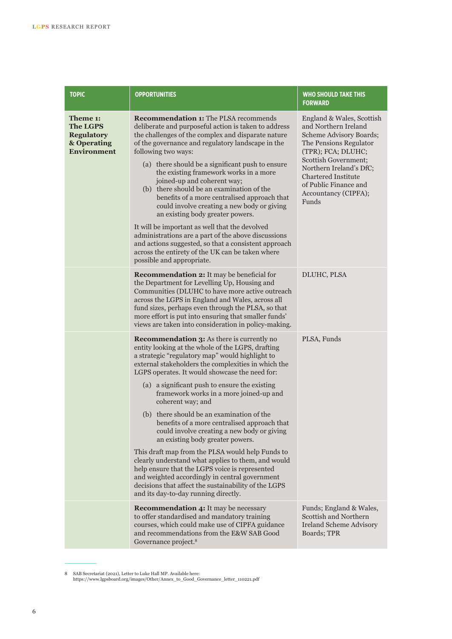| <b>TOPIC</b>                                                                          | <b>OPPORTUNITIES</b>                                                                                                                                                                                                                                                                                                                                                                                                                                                                                                                                                                                                                                                                                                                                                                                                                                                              | <b>WHO SHOULD TAKE THIS</b><br><b>FORWARD</b>                                                                                                                                                                                                                                  |
|---------------------------------------------------------------------------------------|-----------------------------------------------------------------------------------------------------------------------------------------------------------------------------------------------------------------------------------------------------------------------------------------------------------------------------------------------------------------------------------------------------------------------------------------------------------------------------------------------------------------------------------------------------------------------------------------------------------------------------------------------------------------------------------------------------------------------------------------------------------------------------------------------------------------------------------------------------------------------------------|--------------------------------------------------------------------------------------------------------------------------------------------------------------------------------------------------------------------------------------------------------------------------------|
| Theme 1:<br><b>The LGPS</b><br><b>Regulatory</b><br>& Operating<br><b>Environment</b> | <b>Recommendation 1:</b> The PLSA recommends<br>deliberate and purposeful action is taken to address<br>the challenges of the complex and disparate nature<br>of the governance and regulatory landscape in the<br>following two ways:<br>(a) there should be a significant push to ensure<br>the existing framework works in a more<br>joined-up and coherent way;<br>(b) there should be an examination of the<br>benefits of a more centralised approach that<br>could involve creating a new body or giving<br>an existing body greater powers.<br>It will be important as well that the devolved<br>administrations are a part of the above discussions<br>and actions suggested, so that a consistent approach<br>across the entirety of the UK can be taken where                                                                                                          | England & Wales, Scottish<br>and Northern Ireland<br><b>Scheme Advisory Boards;</b><br>The Pensions Regulator<br>(TPR); FCA; DLUHC;<br>Scottish Government;<br>Northern Ireland's DfC;<br><b>Chartered Institute</b><br>of Public Finance and<br>Accountancy (CIPFA);<br>Funds |
|                                                                                       | possible and appropriate.<br><b>Recommendation 2:</b> It may be beneficial for<br>the Department for Levelling Up, Housing and<br>Communities (DLUHC to have more active outreach<br>across the LGPS in England and Wales, across all<br>fund sizes, perhaps even through the PLSA, so that<br>more effort is put into ensuring that smaller funds'<br>views are taken into consideration in policy-making.                                                                                                                                                                                                                                                                                                                                                                                                                                                                       | DLUHC, PLSA                                                                                                                                                                                                                                                                    |
|                                                                                       | <b>Recommendation 3:</b> As there is currently no<br>entity looking at the whole of the LGPS, drafting<br>a strategic "regulatory map" would highlight to<br>external stakeholders the complexities in which the<br>LGPS operates. It would showcase the need for:<br>(a) a significant push to ensure the existing<br>framework works in a more joined-up and<br>coherent way; and<br>(b) there should be an examination of the<br>benefits of a more centralised approach that<br>could involve creating a new body or giving<br>an existing body greater powers.<br>This draft map from the PLSA would help Funds to<br>clearly understand what applies to them, and would<br>help ensure that the LGPS voice is represented<br>and weighted accordingly in central government<br>decisions that affect the sustainability of the LGPS<br>and its day-to-day running directly. | PLSA, Funds                                                                                                                                                                                                                                                                    |
|                                                                                       | <b>Recommendation 4:</b> It may be necessary<br>to offer standardised and mandatory training<br>courses, which could make use of CIPFA guidance<br>and recommendations from the E&W SAB Good<br>Governance project. <sup>8</sup>                                                                                                                                                                                                                                                                                                                                                                                                                                                                                                                                                                                                                                                  | Funds; England & Wales,<br>Scottish and Northern<br><b>Ireland Scheme Advisory</b><br>Boards; TPR                                                                                                                                                                              |

<sup>8</sup> SAB Secretariat (2021), Letter to Luke Hall MP. Available here: https://www.lgpsboard.org/images/Other/Annex\_to\_Good\_Governance\_letter\_110221.pdf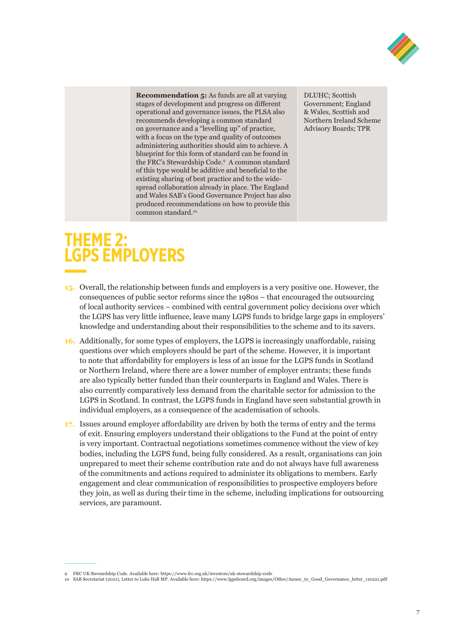

**Recommendation 5:** As funds are all at varying stages of development and progress on different operational and governance issues, the PLSA also recommends developing a common standard on governance and a "levelling up" of practice, with a focus on the type and quality of outcomes administering authorities should aim to achieve. A blueprint for this form of standard can be found in the FRC's Stewardship Code.9 A common standard of this type would be additive and beneficial to the existing sharing of best practice and to the widespread collaboration already in place. The England and Wales SAB's Good Governance Project has also produced recommendations on how to provide this common standard.10

DLUHC; Scottish Government; England & Wales, Scottish and Northern Ireland Scheme Advisory Boards; TPR

# **THEME 2: LGPS EMPLOYERS**

- **15.** Overall, the relationship between funds and employers is a very positive one. However, the consequences of public sector reforms since the 1980s – that encouraged the outsourcing of local authority services – combined with central government policy decisions over which the LGPS has very little influence, leave many LGPS funds to bridge large gaps in employers' knowledge and understanding about their responsibilities to the scheme and to its savers.
- **16.** Additionally, for some types of employers, the LGPS is increasingly unaffordable, raising questions over which employers should be part of the scheme. However, it is important to note that affordability for employers is less of an issue for the LGPS funds in Scotland or Northern Ireland, where there are a lower number of employer entrants; these funds are also typically better funded than their counterparts in England and Wales. There is also currently comparatively less demand from the charitable sector for admission to the LGPS in Scotland. In contrast, the LGPS funds in England have seen substantial growth in individual employers, as a consequence of the academisation of schools.
- **17.** Issues around employer affordability are driven by both the terms of entry and the terms of exit. Ensuring employers understand their obligations to the Fund at the point of entry is very important. Contractual negotiations sometimes commence without the view of key bodies, including the LGPS fund, being fully considered. As a result, organisations can join unprepared to meet their scheme contribution rate and do not always have full awareness of the commitments and actions required to administer its obligations to members. Early engagement and clear communication of responsibilities to prospective employers before they join, as well as during their time in the scheme, including implications for outsourcing services, are paramount.

<sup>9</sup> FRC UK Stewardship Code. Available here: https://www.frc.org.uk/investors/uk-stewardship-code

<sup>10</sup> SAB Secretariat (2021), Letter to Luke Hall MP. Available here: https://www.lgpsboard.org/images/Other/Annex\_to\_Good\_Governance\_letter\_110221.pdf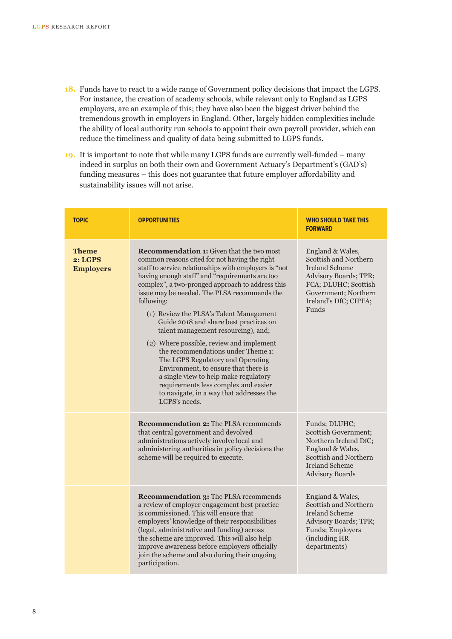- **18.** Funds have to react to a wide range of Government policy decisions that impact the LGPS. For instance, the creation of academy schools, while relevant only to England as LGPS employers, are an example of this; they have also been the biggest driver behind the tremendous growth in employers in England. Other, largely hidden complexities include the ability of local authority run schools to appoint their own payroll provider, which can reduce the timeliness and quality of data being submitted to LGPS funds.
- **19.** It is important to note that while many LGPS funds are currently well-funded many indeed in surplus on both their own and Government Actuary's Department's (GAD's) funding measures – this does not guarantee that future employer affordability and sustainability issues will not arise.

| <b>TOPIC</b>                                | <b>OPPORTUNITIES</b>                                                                                                                                                                                                                                                                                                                                                                                                                                                                                                                                                                                                                                                                                                                                                    | <b>WHO SHOULD TAKE THIS</b><br><b>FORWARD</b>                                                                                                                                 |
|---------------------------------------------|-------------------------------------------------------------------------------------------------------------------------------------------------------------------------------------------------------------------------------------------------------------------------------------------------------------------------------------------------------------------------------------------------------------------------------------------------------------------------------------------------------------------------------------------------------------------------------------------------------------------------------------------------------------------------------------------------------------------------------------------------------------------------|-------------------------------------------------------------------------------------------------------------------------------------------------------------------------------|
| <b>Theme</b><br>2: LGPS<br><b>Employers</b> | <b>Recommendation 1:</b> Given that the two most<br>common reasons cited for not having the right<br>staff to service relationships with employers is "not<br>having enough staff" and "requirements are too<br>complex", a two-pronged approach to address this<br>issue may be needed. The PLSA recommends the<br>following:<br>(1) Review the PLSA's Talent Management<br>Guide 2018 and share best practices on<br>talent management resourcing), and;<br>(2) Where possible, review and implement<br>the recommendations under Theme 1:<br>The LGPS Regulatory and Operating<br>Environment, to ensure that there is<br>a single view to help make regulatory<br>requirements less complex and easier<br>to navigate, in a way that addresses the<br>LGPS's needs. | England & Wales,<br>Scottish and Northern<br><b>Ireland Scheme</b><br>Advisory Boards; TPR;<br>FCA; DLUHC; Scottish<br>Government; Northern<br>Ireland's DfC; CIPFA;<br>Funds |
|                                             | <b>Recommendation 2: The PLSA recommends</b><br>that central government and devolved<br>administrations actively involve local and<br>administering authorities in policy decisions the<br>scheme will be required to execute.                                                                                                                                                                                                                                                                                                                                                                                                                                                                                                                                          | Funds; DLUHC;<br>Scottish Government;<br>Northern Ireland DfC;<br>England & Wales,<br>Scottish and Northern<br><b>Ireland Scheme</b><br><b>Advisory Boards</b>                |
|                                             | <b>Recommendation 3: The PLSA recommends</b><br>a review of employer engagement best practice<br>is commissioned. This will ensure that<br>employers' knowledge of their responsibilities<br>(legal, administrative and funding) across<br>the scheme are improved. This will also help<br>improve awareness before employers officially<br>join the scheme and also during their ongoing<br>participation.                                                                                                                                                                                                                                                                                                                                                             | England & Wales,<br>Scottish and Northern<br><b>Ireland Scheme</b><br>Advisory Boards; TPR;<br>Funds; Employers<br>(including HR<br>departments)                              |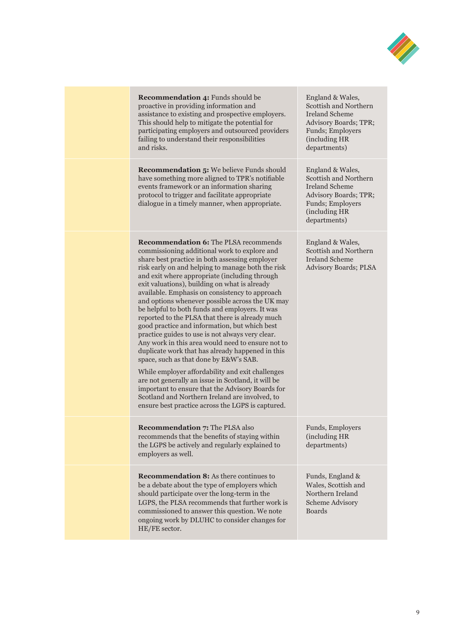

| <b>Recommendation 4: Funds should be</b><br>proactive in providing information and<br>assistance to existing and prospective employers.<br>This should help to mitigate the potential for<br>participating employers and outsourced providers<br>failing to understand their responsibilities<br>and risks.                                                                                                                                                                                                                                                                                                                                                                                                                                                                                                                                                                                                                                                                                                                                  | England & Wales,<br>Scottish and Northern<br><b>Ireland Scheme</b><br>Advisory Boards; TPR;<br>Funds; Employers<br>(including HR<br>departments) |
|----------------------------------------------------------------------------------------------------------------------------------------------------------------------------------------------------------------------------------------------------------------------------------------------------------------------------------------------------------------------------------------------------------------------------------------------------------------------------------------------------------------------------------------------------------------------------------------------------------------------------------------------------------------------------------------------------------------------------------------------------------------------------------------------------------------------------------------------------------------------------------------------------------------------------------------------------------------------------------------------------------------------------------------------|--------------------------------------------------------------------------------------------------------------------------------------------------|
| <b>Recommendation 5:</b> We believe Funds should<br>have something more aligned to TPR's notifiable<br>events framework or an information sharing<br>protocol to trigger and facilitate appropriate<br>dialogue in a timely manner, when appropriate.                                                                                                                                                                                                                                                                                                                                                                                                                                                                                                                                                                                                                                                                                                                                                                                        | England & Wales,<br>Scottish and Northern<br><b>Ireland Scheme</b><br>Advisory Boards; TPR;<br>Funds; Employers<br>(including HR<br>departments) |
| <b>Recommendation 6: The PLSA recommends</b><br>commissioning additional work to explore and<br>share best practice in both assessing employer<br>risk early on and helping to manage both the risk<br>and exit where appropriate (including through<br>exit valuations), building on what is already<br>available. Emphasis on consistency to approach<br>and options whenever possible across the UK may<br>be helpful to both funds and employers. It was<br>reported to the PLSA that there is already much<br>good practice and information, but which best<br>practice guides to use is not always very clear.<br>Any work in this area would need to ensure not to<br>duplicate work that has already happened in this<br>space, such as that done by E&W's SAB.<br>While employer affordability and exit challenges<br>are not generally an issue in Scotland, it will be<br>important to ensure that the Advisory Boards for<br>Scotland and Northern Ireland are involved, to<br>ensure best practice across the LGPS is captured. | England & Wales,<br>Scottish and Northern<br><b>Ireland Scheme</b><br>Advisory Boards; PLSA                                                      |
| <b>Recommendation 7: The PLSA also</b><br>recommends that the benefits of staying within<br>the LGPS be actively and regularly explained to<br>employers as well.                                                                                                                                                                                                                                                                                                                                                                                                                                                                                                                                                                                                                                                                                                                                                                                                                                                                            | Funds, Employers<br>(including HR<br>departments)                                                                                                |
| <b>Recommendation 8:</b> As there continues to<br>be a debate about the type of employers which<br>should participate over the long-term in the<br>LGPS, the PLSA recommends that further work is<br>commissioned to answer this question. We note<br>ongoing work by DLUHC to consider changes for<br>HE/FE sector.                                                                                                                                                                                                                                                                                                                                                                                                                                                                                                                                                                                                                                                                                                                         | Funds, England &<br>Wales, Scottish and<br>Northern Ireland<br>Scheme Advisory<br><b>Boards</b>                                                  |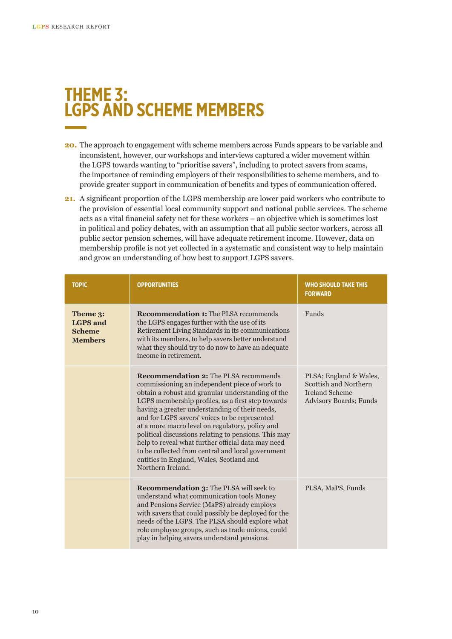## **THEME 3: LGPS AND SCHEME MEMBERS**

- **20.** The approach to engagement with scheme members across Funds appears to be variable and inconsistent, however, our workshops and interviews captured a wider movement within the LGPS towards wanting to "prioritise savers", including to protect savers from scams, the importance of reminding employers of their responsibilities to scheme members, and to provide greater support in communication of benefits and types of communication offered.
- **21.** A significant proportion of the LGPS membership are lower paid workers who contribute to the provision of essential local community support and national public services. The scheme acts as a vital financial safety net for these workers – an objective which is sometimes lost in political and policy debates, with an assumption that all public sector workers, across all public sector pension schemes, will have adequate retirement income. However, data on membership profile is not yet collected in a systematic and consistent way to help maintain and grow an understanding of how best to support LGPS savers.

| <b>TOPIC</b>                                                   | <b>OPPORTUNITIES</b>                                                                                                                                                                                                                                                                                                                                                                                                                                                                                                                                                                              | <b>WHO SHOULD TAKE THIS</b><br><b>FORWARD</b>                                                      |
|----------------------------------------------------------------|---------------------------------------------------------------------------------------------------------------------------------------------------------------------------------------------------------------------------------------------------------------------------------------------------------------------------------------------------------------------------------------------------------------------------------------------------------------------------------------------------------------------------------------------------------------------------------------------------|----------------------------------------------------------------------------------------------------|
| Theme 3:<br><b>LGPS</b> and<br><b>Scheme</b><br><b>Members</b> | <b>Recommendation 1: The PLSA recommends</b><br>the LGPS engages further with the use of its<br>Retirement Living Standards in its communications<br>with its members, to help savers better understand<br>what they should try to do now to have an adequate<br>income in retirement.                                                                                                                                                                                                                                                                                                            | Funds                                                                                              |
|                                                                | <b>Recommendation 2: The PLSA recommends</b><br>commissioning an independent piece of work to<br>obtain a robust and granular understanding of the<br>LGPS membership profiles, as a first step towards<br>having a greater understanding of their needs,<br>and for LGPS savers' voices to be represented<br>at a more macro level on regulatory, policy and<br>political discussions relating to pensions. This may<br>help to reveal what further official data may need<br>to be collected from central and local government<br>entities in England, Wales, Scotland and<br>Northern Ireland. | PLSA; England & Wales,<br>Scottish and Northern<br><b>Ireland Scheme</b><br>Advisory Boards; Funds |
|                                                                | <b>Recommendation 3: The PLSA will seek to</b><br>understand what communication tools Money<br>and Pensions Service (MaPS) already employs<br>with savers that could possibly be deployed for the<br>needs of the LGPS. The PLSA should explore what<br>role employee groups, such as trade unions, could<br>play in helping savers understand pensions.                                                                                                                                                                                                                                          | PLSA, MaPS, Funds                                                                                  |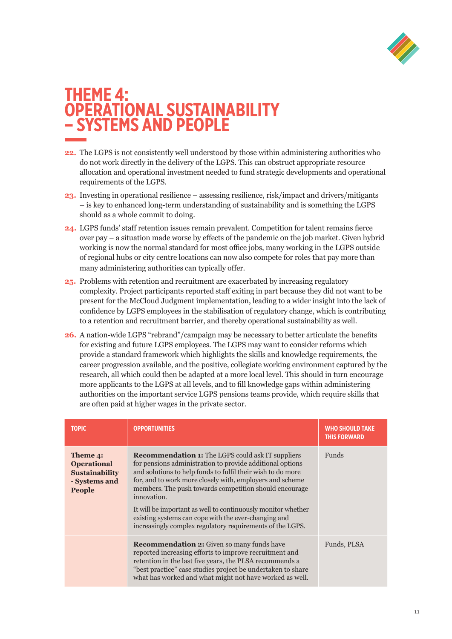

## **THEME 4: OPERATIONAL SUSTAINABILITY – SYSTEMS AND PEOPLE**

- **22.** The LGPS is not consistently well understood by those within administering authorities who do not work directly in the delivery of the LGPS. This can obstruct appropriate resource allocation and operational investment needed to fund strategic developments and operational requirements of the LGPS.
- **23.** Investing in operational resilience assessing resilience, risk/impact and drivers/mitigants – is key to enhanced long-term understanding of sustainability and is something the LGPS should as a whole commit to doing.
- **24.** LGPS funds' staff retention issues remain prevalent. Competition for talent remains fierce over pay – a situation made worse by effects of the pandemic on the job market. Given hybrid working is now the normal standard for most office jobs, many working in the LGPS outside of regional hubs or city centre locations can now also compete for roles that pay more than many administering authorities can typically offer.
- **25.** Problems with retention and recruitment are exacerbated by increasing regulatory complexity. Project participants reported staff exiting in part because they did not want to be present for the McCloud Judgment implementation, leading to a wider insight into the lack of confidence by LGPS employees in the stabilisation of regulatory change, which is contributing to a retention and recruitment barrier, and thereby operational sustainability as well.
- **26.** A nation-wide LGPS "rebrand"/campaign may be necessary to better articulate the benefits for existing and future LGPS employees. The LGPS may want to consider reforms which provide a standard framework which highlights the skills and knowledge requirements, the career progression available, and the positive, collegiate working environment captured by the research, all which could then be adapted at a more local level. This should in turn encourage more applicants to the LGPS at all levels, and to fill knowledge gaps within administering authorities on the important service LGPS pensions teams provide, which require skills that are often paid at higher wages in the private sector.

| <b>TOPIC</b>                                                                              | <b>OPPORTUNITIES</b>                                                                                                                                                                                                                                                                                                                                                                                                                                                                                           | <b>WHO SHOULD TAKE</b><br><b>THIS FORWARD</b> |
|-------------------------------------------------------------------------------------------|----------------------------------------------------------------------------------------------------------------------------------------------------------------------------------------------------------------------------------------------------------------------------------------------------------------------------------------------------------------------------------------------------------------------------------------------------------------------------------------------------------------|-----------------------------------------------|
| Theme 4:<br><b>Operational</b><br><b>Sustainability</b><br>- Systems and<br><b>People</b> | <b>Recommendation 1:</b> The LGPS could ask IT suppliers<br>for pensions administration to provide additional options<br>and solutions to help funds to fulfil their wish to do more<br>for, and to work more closely with, employers and scheme<br>members. The push towards competition should encourage<br>innovation.<br>It will be important as well to continuously monitor whether<br>existing systems can cope with the ever-changing and<br>increasingly complex regulatory requirements of the LGPS. | <b>Funds</b>                                  |
|                                                                                           | <b>Recommendation 2:</b> Given so many funds have<br>reported increasing efforts to improve recruitment and<br>retention in the last five years, the PLSA recommends a<br>"best practice" case studies project be undertaken to share<br>what has worked and what might not have worked as well.                                                                                                                                                                                                               | Funds, PLSA                                   |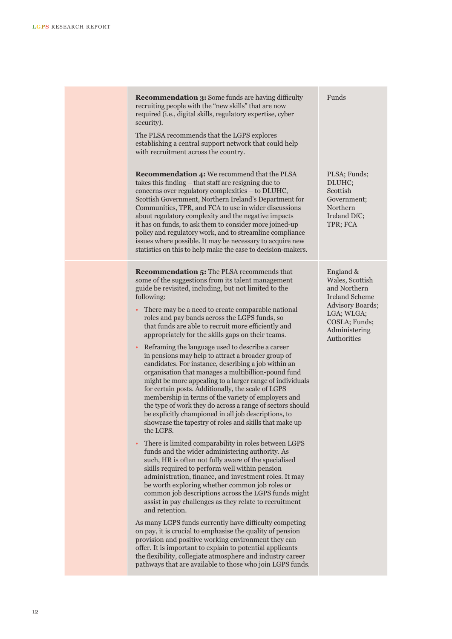| <b>Recommendation 3:</b> Some funds are having difficulty<br>recruiting people with the "new skills" that are now<br>required (i.e., digital skills, regulatory expertise, cyber<br>security).<br>The PLSA recommends that the LGPS explores<br>establishing a central support network that could help<br>with recruitment across the country.                                                                                                                                                                                                                                                                                                                                                                                                                                                                                                                                                                                                                                                                                                                                                                                                                                                                                                                                                                                                                                                                                                                                                                                                                                                                                                                                                                                                                                                                                          | Funds                                                                                                                                                    |
|-----------------------------------------------------------------------------------------------------------------------------------------------------------------------------------------------------------------------------------------------------------------------------------------------------------------------------------------------------------------------------------------------------------------------------------------------------------------------------------------------------------------------------------------------------------------------------------------------------------------------------------------------------------------------------------------------------------------------------------------------------------------------------------------------------------------------------------------------------------------------------------------------------------------------------------------------------------------------------------------------------------------------------------------------------------------------------------------------------------------------------------------------------------------------------------------------------------------------------------------------------------------------------------------------------------------------------------------------------------------------------------------------------------------------------------------------------------------------------------------------------------------------------------------------------------------------------------------------------------------------------------------------------------------------------------------------------------------------------------------------------------------------------------------------------------------------------------------|----------------------------------------------------------------------------------------------------------------------------------------------------------|
| <b>Recommendation 4:</b> We recommend that the PLSA<br>takes this finding – that staff are resigning due to<br>concerns over regulatory complexities - to DLUHC,<br>Scottish Government, Northern Ireland's Department for<br>Communities, TPR, and FCA to use in wider discussions<br>about regulatory complexity and the negative impacts<br>it has on funds, to ask them to consider more joined-up<br>policy and regulatory work, and to streamline compliance<br>issues where possible. It may be necessary to acquire new<br>statistics on this to help make the case to decision-makers.                                                                                                                                                                                                                                                                                                                                                                                                                                                                                                                                                                                                                                                                                                                                                                                                                                                                                                                                                                                                                                                                                                                                                                                                                                         | PLSA; Funds;<br>DLUHC;<br>Scottish<br>Government;<br>Northern<br>Ireland DfC;<br>TPR; FCA                                                                |
| <b>Recommendation 5:</b> The PLSA recommends that<br>some of the suggestions from its talent management<br>guide be revisited, including, but not limited to the<br>following:<br>There may be a need to create comparable national<br>roles and pay bands across the LGPS funds, so<br>that funds are able to recruit more efficiently and<br>appropriately for the skills gaps on their teams.<br>Reframing the language used to describe a career<br>in pensions may help to attract a broader group of<br>candidates. For instance, describing a job within an<br>organisation that manages a multibillion-pound fund<br>might be more appealing to a larger range of individuals<br>for certain posts. Additionally, the scale of LGPS<br>membership in terms of the variety of employers and<br>the type of work they do across a range of sectors should<br>be explicitly championed in all job descriptions, to<br>showcase the tapestry of roles and skills that make up<br>the LGPS.<br>There is limited comparability in roles between LGPS<br>funds and the wider administering authority. As<br>such, HR is often not fully aware of the specialised<br>skills required to perform well within pension<br>administration, finance, and investment roles. It may<br>be worth exploring whether common job roles or<br>common job descriptions across the LGPS funds might<br>assist in pay challenges as they relate to recruitment<br>and retention.<br>As many LGPS funds currently have difficulty competing<br>on pay, it is crucial to emphasise the quality of pension<br>provision and positive working environment they can<br>offer. It is important to explain to potential applicants<br>the flexibility, collegiate atmosphere and industry career<br>pathways that are available to those who join LGPS funds. | England &<br>Wales, Scottish<br>and Northern<br><b>Ireland Scheme</b><br>Advisory Boards;<br>LGA; WLGA;<br>COSLA; Funds;<br>Administering<br>Authorities |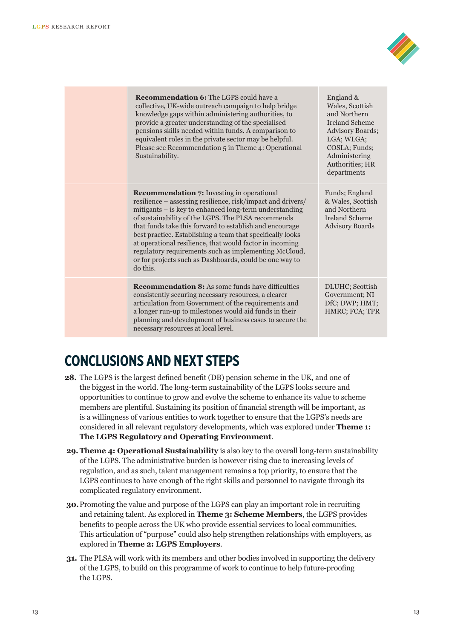

| <b>Recommendation 6:</b> The LGPS could have a<br>collective, UK-wide outreach campaign to help bridge<br>knowledge gaps within administering authorities, to<br>provide a greater understanding of the specialised<br>pensions skills needed within funds. A comparison to<br>equivalent roles in the private sector may be helpful.<br>Please see Recommendation 5 in Theme 4: Operational<br>Sustainability.                                                                                                                                       | England &<br>Wales, Scottish<br>and Northern<br><b>Ireland Scheme</b><br><b>Advisory Boards;</b><br>LGA; WLGA;<br>COSLA; Funds;<br>Administering<br>Authorities; HR<br>departments |
|-------------------------------------------------------------------------------------------------------------------------------------------------------------------------------------------------------------------------------------------------------------------------------------------------------------------------------------------------------------------------------------------------------------------------------------------------------------------------------------------------------------------------------------------------------|------------------------------------------------------------------------------------------------------------------------------------------------------------------------------------|
| <b>Recommendation 7:</b> Investing in operational<br>resilience – assessing resilience, risk/impact and drivers/<br>mitigants – is key to enhanced long-term understanding<br>of sustainability of the LGPS. The PLSA recommends<br>that funds take this forward to establish and encourage<br>best practice. Establishing a team that specifically looks<br>at operational resilience, that would factor in incoming<br>regulatory requirements such as implementing McCloud,<br>or for projects such as Dashboards, could be one way to<br>do this. | Funds; England<br>& Wales, Scottish<br>and Northern<br>Ireland Scheme<br><b>Advisory Boards</b>                                                                                    |
| <b>Recommendation 8:</b> As some funds have difficulties<br>consistently securing necessary resources, a clearer<br>articulation from Government of the requirements and<br>a longer run-up to milestones would aid funds in their<br>planning and development of business cases to secure the<br>necessary resources at local level.                                                                                                                                                                                                                 | DLUHC; Scottish<br>Government; NI<br>DfC; DWP; HMT;<br>HMRC; FCA; TPR                                                                                                              |
|                                                                                                                                                                                                                                                                                                                                                                                                                                                                                                                                                       |                                                                                                                                                                                    |

## **CONCLUSIONS AND NEXT STEPS**

- **28.** The LGPS is the largest defined benefit (DB) pension scheme in the UK, and one of the biggest in the world. The long-term sustainability of the LGPS looks secure and opportunities to continue to grow and evolve the scheme to enhance its value to scheme members are plentiful. Sustaining its position of financial strength will be important, as is a willingness of various entities to work together to ensure that the LGPS's needs are considered in all relevant regulatory developments, which was explored under **Theme 1: The LGPS Regulatory and Operating Environment**.
- **29.Theme 4: Operational Sustainability** is also key to the overall long-term sustainability of the LGPS. The administrative burden is however rising due to increasing levels of regulation, and as such, talent management remains a top priority, to ensure that the LGPS continues to have enough of the right skills and personnel to navigate through its complicated regulatory environment.
- **30.**Promoting the value and purpose of the LGPS can play an important role in recruiting and retaining talent. As explored in **Theme 3: Scheme Members**, the LGPS provides benefits to people across the UK who provide essential services to local communities. This articulation of "purpose" could also help strengthen relationships with employers, as explored in **Theme 2: LGPS Employers**.
- **31.** The PLSA will work with its members and other bodies involved in supporting the delivery of the LGPS, to build on this programme of work to continue to help future-proofing the LGPS.